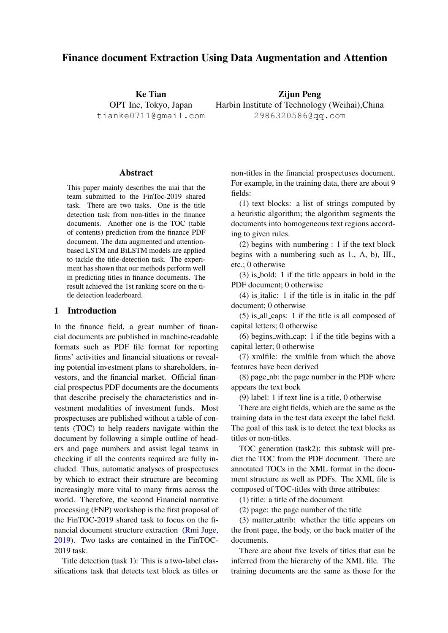# Finance document Extraction Using Data Augmentation and Attention

Ke Tian OPT Inc, Tokyo, Japan tianke0711@gmail.com

Zijun Peng Harbin Institute of Technology (Weihai),China 2986320586@qq.com

#### Abstract

This paper mainly describes the aiai that the team submitted to the FinToc-2019 shared task. There are two tasks. One is the title detection task from non-titles in the finance documents. Another one is the TOC (table of contents) prediction from the finance PDF document. The data augmented and attentionbased LSTM and BiLSTM models are applied to tackle the title-detection task. The experiment has shown that our methods perform well in predicting titles in finance documents. The result achieved the 1st ranking score on the title detection leaderboard.

## 1 Introduction

In the finance field, a great number of financial documents are published in machine-readable formats such as PDF file format for reporting firms' activities and financial situations or revealing potential investment plans to shareholders, investors, and the financial market. Official financial prospectus PDF documents are the documents that describe precisely the characteristics and investment modalities of investment funds. Most prospectuses are published without a table of contents (TOC) to help readers navigate within the document by following a simple outline of headers and page numbers and assist legal teams in checking if all the contents required are fully included. Thus, automatic analyses of prospectuses by which to extract their structure are becoming increasingly more vital to many firms across the world. Therefore, the second Financial narrative processing (FNP) workshop is the first proposal of the FinTOC-2019 shared task to focus on the financial document structure extraction [\(Rmi Juge,](#page-3-0) [2019\)](#page-3-0). Two tasks are contained in the FinTOC-2019 task.

Title detection (task 1): This is a two-label classifications task that detects text block as titles or non-titles in the financial prospectuses document. For example, in the training data, there are about 9 fields:

(1) text blocks: a list of strings computed by a heuristic algorithm; the algorithm segments the documents into homogeneous text regions according to given rules.

 $(2)$  begins with numbering : 1 if the text block begins with a numbering such as 1., A, b), III., etc.; 0 otherwise

(3) is bold: 1 if the title appears in bold in the PDF document; 0 otherwise

(4) is italic: 1 if the title is in italic in the pdf document; 0 otherwise

(5) is all caps: 1 if the title is all composed of capital letters; 0 otherwise

(6) begins with cap: 1 if the title begins with a capital letter; 0 otherwise

(7) xmlfile: the xmlfile from which the above features have been derived

(8) page nb: the page number in the PDF where appears the text bock

(9) label: 1 if text line is a title, 0 otherwise

There are eight fields, which are the same as the training data in the test data except the label field. The goal of this task is to detect the text blocks as titles or non-titles.

TOC generation (task2): this subtask will predict the TOC from the PDF document. There are annotated TOCs in the XML format in the document structure as well as PDFs. The XML file is composed of TOC-titles with three attributes:

(1) title: a title of the document

(2) page: the page number of the title

(3) matter attrib: whether the title appears on the front page, the body, or the back matter of the documents.

There are about five levels of titles that can be inferred from the hierarchy of the XML file. The training documents are the same as those for the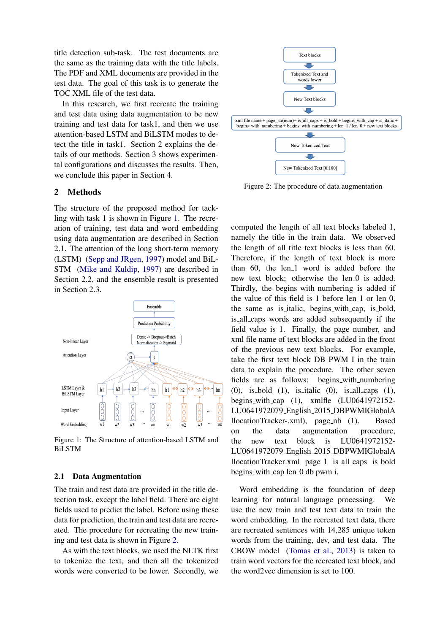title detection sub-task. The test documents are the same as the training data with the title labels. The PDF and XML documents are provided in the test data. The goal of this task is to generate the TOC XML file of the test data.

In this research, we first recreate the training and test data using data augmentation to be new training and test data for task1, and then we use attention-based LSTM and BiLSTM modes to detect the title in task1. Section 2 explains the details of our methods. Section 3 shows experimental configurations and discusses the results. Then, we conclude this paper in Section 4.

## 2 Methods

The structure of the proposed method for tackling with task 1 is shown in Figure [1.](#page-1-0) The recreation of training, test data and word embedding using data augmentation are described in Section 2.1. The attention of the long short-term memory (LSTM) [\(Sepp and JRgen,](#page-3-1) [1997\)](#page-3-1) model and BiL-STM [\(Mike and Kuldip,](#page-3-2) [1997\)](#page-3-2) are described in Section 2.2, and the ensemble result is presented in Section 2.3.

<span id="page-1-0"></span>

Figure 1: The Structure of attention-based LSTM and BiLSTM

#### 2.1 Data Augmentation

The train and test data are provided in the title detection task, except the label field. There are eight fields used to predict the label. Before using these data for prediction, the train and test data are recreated. The procedure for recreating the new training and test data is shown in Figure [2.](#page-1-1)

As with the text blocks, we used the NLTK first to tokenize the text, and then all the tokenized words were converted to be lower. Secondly, we

<span id="page-1-1"></span>

Figure 2: The procedure of data augmentation

computed the length of all text blocks labeled 1, namely the title in the train data. We observed the length of all title text blocks is less than 60. Therefore, if the length of text block is more than 60, the len\_1 word is added before the new text block; otherwise the len 0 is added. Thirdly, the begins with numbering is added if the value of this field is  $1$  before len $1$  or len $0$ , the same as is italic, begins with cap, is bold, is all caps words are added subsequently if the field value is 1. Finally, the page number, and xml file name of text blocks are added in the front of the previous new text blocks. For example, take the first text block DB PWM I in the train data to explain the procedure. The other seven fields are as follows: begins with numbering (0), is bold (1), is italic (0), is all caps (1), begins with cap (1), xmlfle (LU0641972152- LU0641972079 English 2015 DBPWMIGlobalA llocationTracker-.xml), page nb (1). Based on the data augmentation procedure, the new text block is LU0641972152- LU0641972079 English 2015 DBPWMIGlobalA llocationTracker.xml page 1 is all caps is bold begins with cap len 0 db pwm i.

Word embedding is the foundation of deep learning for natural language processing. We use the new train and test text data to train the word embedding. In the recreated text data, there are recreated sentences with 14,285 unique token words from the training, dev, and test data. The CBOW model [\(Tomas et al.,](#page-3-3) [2013\)](#page-3-3) is taken to train word vectors for the recreated text block, and the word2vec dimension is set to 100.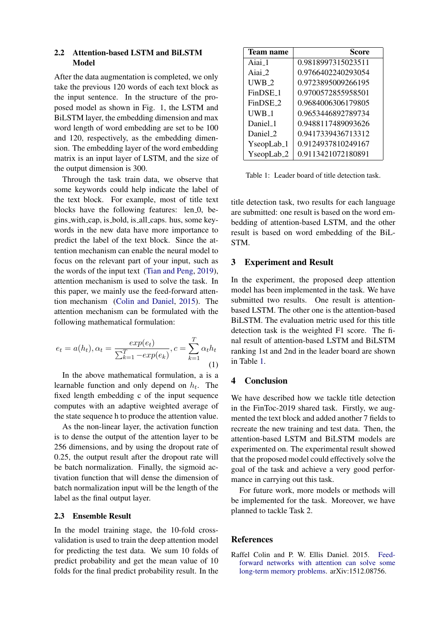#### 2.2 Attention-based LSTM and BiLSTM Model

After the data augmentation is completed, we only take the previous 120 words of each text block as the input sentence. In the structure of the proposed model as shown in Fig. 1, the LSTM and BiLSTM layer, the embedding dimension and max word length of word embedding are set to be 100 and 120, respectively, as the embedding dimension. The embedding layer of the word embedding matrix is an input layer of LSTM, and the size of the output dimension is 300.

Through the task train data, we observe that some keywords could help indicate the label of the text block. For example, most of title text blocks have the following features: len<sub>-0</sub>, begins with cap, is bold, is all caps. hus, some keywords in the new data have more importance to predict the label of the text block. Since the attention mechanism can enable the neural model to focus on the relevant part of your input, such as the words of the input text [\(Tian and Peng,](#page-3-4) [2019\)](#page-3-4), attention mechanism is used to solve the task. In this paper, we mainly use the feed-forward attention mechanism [\(Colin and Daniel,](#page-2-0) [2015\)](#page-2-0). The attention mechanism can be formulated with the following mathematical formulation:

$$
e_t = a(h_t), \alpha_t = \frac{exp(e_t)}{\sum_{k=1}^{T} -exp(e_k)}, c = \sum_{k=1}^{T} \alpha_t h_t
$$
\n(1)

In the above mathematical formulation, a is a learnable function and only depend on  $h_t$ . The fixed length embedding c of the input sequence computes with an adaptive weighted average of the state sequence h to produce the attention value.

As the non-linear layer, the activation function is to dense the output of the attention layer to be 256 dimensions, and by using the dropout rate of 0.25, the output result after the dropout rate will be batch normalization. Finally, the sigmoid activation function that will dense the dimension of batch normalization input will be the length of the label as the final output layer.

#### 2.3 Ensemble Result

In the model training stage, the 10-fold crossvalidation is used to train the deep attention model for predicting the test data. We sum 10 folds of predict probability and get the mean value of 10 folds for the final predict probability result. In the

<span id="page-2-1"></span>

| <b>Team name</b>       | Score              |
|------------------------|--------------------|
| Aiai 1                 | 0.9818997315023511 |
| Aiai 2                 | 0.9766402240293054 |
| $UWB_2$                | 0.9723895009266195 |
| FinDSE <sub>-1</sub>   | 0.9700572855958501 |
| FinDSE 2               | 0.9684006306179805 |
| UWB 1                  | 0.9653446892789734 |
| Daniel_1               | 0.9488117489093626 |
| Daniel 2               | 0.9417339436713312 |
| YseopLab <sub>-1</sub> | 0.9124937810249167 |
| YseopLab <sub>-2</sub> | 0.9113421072180891 |

Table 1: Leader board of title detection task.

title detection task, two results for each language are submitted: one result is based on the word embedding of attention-based LSTM, and the other result is based on word embedding of the BiL-STM.

# 3 Experiment and Result

In the experiment, the proposed deep attention model has been implemented in the task. We have submitted two results. One result is attentionbased LSTM. The other one is the attention-based BiLSTM. The evaluation metric used for this title detection task is the weighted F1 score. The final result of attention-based LSTM and BiLSTM ranking 1st and 2nd in the leader board are shown in Table [1.](#page-2-1)

# 4 Conclusion

We have described how we tackle title detection in the FinToc-2019 shared task. Firstly, we augmented the text block and added another 7 fields to recreate the new training and test data. Then, the attention-based LSTM and BiLSTM models are experimented on. The experimental result showed that the proposed model could effectively solve the goal of the task and achieve a very good performance in carrying out this task.

For future work, more models or methods will be implemented for the task. Moreover, we have planned to tackle Task 2.

# References

<span id="page-2-0"></span>Raffel Colin and P. W. Ellis Daniel. 2015. [Feed](https://arxiv.org/abs/1512.08756)[forward networks with attention can solve some](https://arxiv.org/abs/1512.08756) [long-term memory problems.](https://arxiv.org/abs/1512.08756) arXiv:1512.08756.